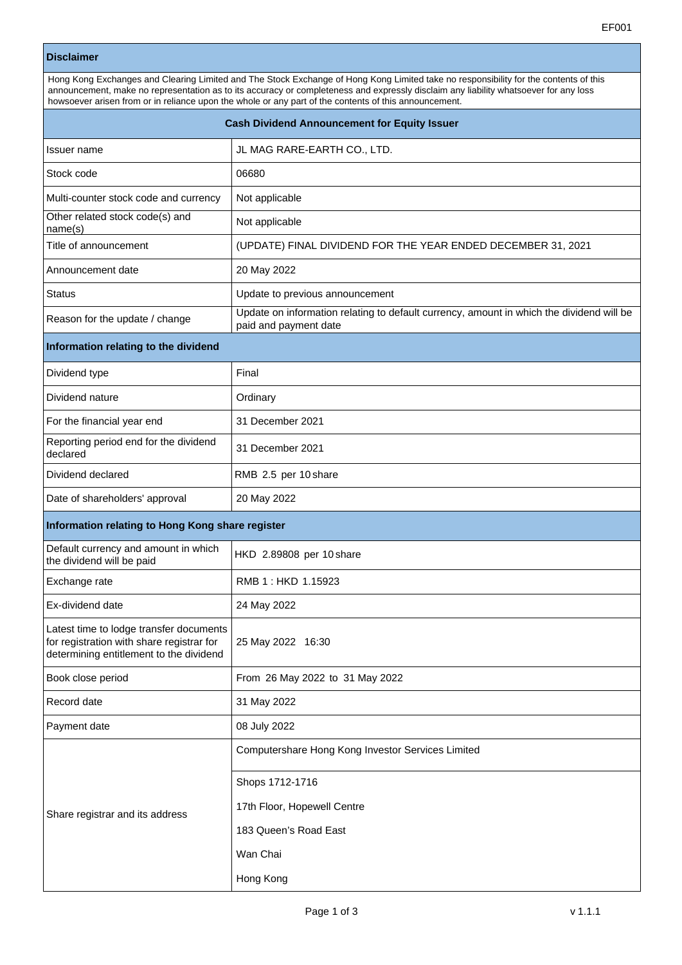## **Disclaimer**

| Hong Kong Exchanges and Clearing Limited and The Stock Exchange of Hong Kong Limited take no responsibility for the contents of this<br>announcement, make no representation as to its accuracy or completeness and expressly disclaim any liability whatsoever for any loss<br>howsoever arisen from or in reliance upon the whole or any part of the contents of this announcement. |                                                                                                                   |  |  |  |  |  |
|---------------------------------------------------------------------------------------------------------------------------------------------------------------------------------------------------------------------------------------------------------------------------------------------------------------------------------------------------------------------------------------|-------------------------------------------------------------------------------------------------------------------|--|--|--|--|--|
| <b>Cash Dividend Announcement for Equity Issuer</b>                                                                                                                                                                                                                                                                                                                                   |                                                                                                                   |  |  |  |  |  |
| Issuer name                                                                                                                                                                                                                                                                                                                                                                           | JL MAG RARE-EARTH CO., LTD.                                                                                       |  |  |  |  |  |
| Stock code                                                                                                                                                                                                                                                                                                                                                                            | 06680                                                                                                             |  |  |  |  |  |
| Multi-counter stock code and currency                                                                                                                                                                                                                                                                                                                                                 | Not applicable                                                                                                    |  |  |  |  |  |
| Other related stock code(s) and<br>name(s)                                                                                                                                                                                                                                                                                                                                            | Not applicable                                                                                                    |  |  |  |  |  |
| Title of announcement                                                                                                                                                                                                                                                                                                                                                                 | (UPDATE) FINAL DIVIDEND FOR THE YEAR ENDED DECEMBER 31, 2021                                                      |  |  |  |  |  |
| Announcement date                                                                                                                                                                                                                                                                                                                                                                     | 20 May 2022                                                                                                       |  |  |  |  |  |
| <b>Status</b>                                                                                                                                                                                                                                                                                                                                                                         | Update to previous announcement                                                                                   |  |  |  |  |  |
| Reason for the update / change                                                                                                                                                                                                                                                                                                                                                        | Update on information relating to default currency, amount in which the dividend will be<br>paid and payment date |  |  |  |  |  |
| Information relating to the dividend                                                                                                                                                                                                                                                                                                                                                  |                                                                                                                   |  |  |  |  |  |
| Dividend type                                                                                                                                                                                                                                                                                                                                                                         | Final                                                                                                             |  |  |  |  |  |
| Dividend nature                                                                                                                                                                                                                                                                                                                                                                       | Ordinary                                                                                                          |  |  |  |  |  |
| For the financial year end                                                                                                                                                                                                                                                                                                                                                            | 31 December 2021                                                                                                  |  |  |  |  |  |
| Reporting period end for the dividend<br>declared                                                                                                                                                                                                                                                                                                                                     | 31 December 2021                                                                                                  |  |  |  |  |  |
| Dividend declared                                                                                                                                                                                                                                                                                                                                                                     | RMB 2.5 per 10 share                                                                                              |  |  |  |  |  |
| Date of shareholders' approval                                                                                                                                                                                                                                                                                                                                                        | 20 May 2022                                                                                                       |  |  |  |  |  |
| Information relating to Hong Kong share register                                                                                                                                                                                                                                                                                                                                      |                                                                                                                   |  |  |  |  |  |
| Default currency and amount in which<br>the dividend will be paid                                                                                                                                                                                                                                                                                                                     | HKD 2.89808 per 10 share                                                                                          |  |  |  |  |  |
| Exchange rate                                                                                                                                                                                                                                                                                                                                                                         | RMB 1: HKD 1.15923                                                                                                |  |  |  |  |  |
| Ex-dividend date                                                                                                                                                                                                                                                                                                                                                                      | 24 May 2022                                                                                                       |  |  |  |  |  |
| Latest time to lodge transfer documents<br>for registration with share registrar for<br>determining entitlement to the dividend                                                                                                                                                                                                                                                       | 25 May 2022 16:30                                                                                                 |  |  |  |  |  |
| Book close period                                                                                                                                                                                                                                                                                                                                                                     | From 26 May 2022 to 31 May 2022                                                                                   |  |  |  |  |  |
| Record date                                                                                                                                                                                                                                                                                                                                                                           | 31 May 2022                                                                                                       |  |  |  |  |  |
| Payment date                                                                                                                                                                                                                                                                                                                                                                          | 08 July 2022                                                                                                      |  |  |  |  |  |
|                                                                                                                                                                                                                                                                                                                                                                                       | Computershare Hong Kong Investor Services Limited                                                                 |  |  |  |  |  |
|                                                                                                                                                                                                                                                                                                                                                                                       | Shops 1712-1716                                                                                                   |  |  |  |  |  |
| Share registrar and its address                                                                                                                                                                                                                                                                                                                                                       | 17th Floor, Hopewell Centre                                                                                       |  |  |  |  |  |
|                                                                                                                                                                                                                                                                                                                                                                                       | 183 Queen's Road East                                                                                             |  |  |  |  |  |
|                                                                                                                                                                                                                                                                                                                                                                                       | Wan Chai                                                                                                          |  |  |  |  |  |

Hong Kong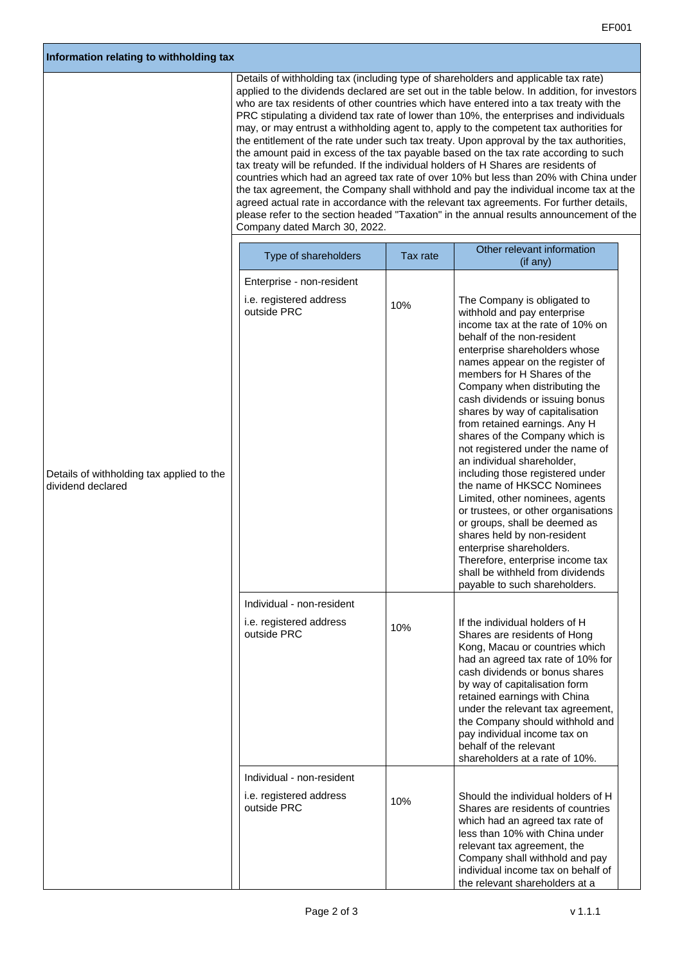| Information relating to withholding tax                        |  |                                                                                                                                                                                                                                                                                                                                                                                                                                                                                                                                                                                                                                                                                                                                                                                                                                                                                                                                                                                                                                                                                                                                                        |          |                                                                                                                                                                                                                                                                                                                                                                                                                                                                                                                                                                                                                                                                                                                                                                                                                              |  |  |
|----------------------------------------------------------------|--|--------------------------------------------------------------------------------------------------------------------------------------------------------------------------------------------------------------------------------------------------------------------------------------------------------------------------------------------------------------------------------------------------------------------------------------------------------------------------------------------------------------------------------------------------------------------------------------------------------------------------------------------------------------------------------------------------------------------------------------------------------------------------------------------------------------------------------------------------------------------------------------------------------------------------------------------------------------------------------------------------------------------------------------------------------------------------------------------------------------------------------------------------------|----------|------------------------------------------------------------------------------------------------------------------------------------------------------------------------------------------------------------------------------------------------------------------------------------------------------------------------------------------------------------------------------------------------------------------------------------------------------------------------------------------------------------------------------------------------------------------------------------------------------------------------------------------------------------------------------------------------------------------------------------------------------------------------------------------------------------------------------|--|--|
|                                                                |  | Details of withholding tax (including type of shareholders and applicable tax rate)<br>applied to the dividends declared are set out in the table below. In addition, for investors<br>who are tax residents of other countries which have entered into a tax treaty with the<br>PRC stipulating a dividend tax rate of lower than 10%, the enterprises and individuals<br>may, or may entrust a withholding agent to, apply to the competent tax authorities for<br>the entitlement of the rate under such tax treaty. Upon approval by the tax authorities,<br>the amount paid in excess of the tax payable based on the tax rate according to such<br>tax treaty will be refunded. If the individual holders of H Shares are residents of<br>countries which had an agreed tax rate of over 10% but less than 20% with China under<br>the tax agreement, the Company shall withhold and pay the individual income tax at the<br>agreed actual rate in accordance with the relevant tax agreements. For further details,<br>please refer to the section headed "Taxation" in the annual results announcement of the<br>Company dated March 30, 2022. |          |                                                                                                                                                                                                                                                                                                                                                                                                                                                                                                                                                                                                                                                                                                                                                                                                                              |  |  |
|                                                                |  | Type of shareholders                                                                                                                                                                                                                                                                                                                                                                                                                                                                                                                                                                                                                                                                                                                                                                                                                                                                                                                                                                                                                                                                                                                                   | Tax rate | Other relevant information<br>(if any)                                                                                                                                                                                                                                                                                                                                                                                                                                                                                                                                                                                                                                                                                                                                                                                       |  |  |
|                                                                |  |                                                                                                                                                                                                                                                                                                                                                                                                                                                                                                                                                                                                                                                                                                                                                                                                                                                                                                                                                                                                                                                                                                                                                        |          |                                                                                                                                                                                                                                                                                                                                                                                                                                                                                                                                                                                                                                                                                                                                                                                                                              |  |  |
| Details of withholding tax applied to the<br>dividend declared |  | Enterprise - non-resident<br>i.e. registered address<br>outside PRC                                                                                                                                                                                                                                                                                                                                                                                                                                                                                                                                                                                                                                                                                                                                                                                                                                                                                                                                                                                                                                                                                    | 10%      | The Company is obligated to<br>withhold and pay enterprise<br>income tax at the rate of 10% on<br>behalf of the non-resident<br>enterprise shareholders whose<br>names appear on the register of<br>members for H Shares of the<br>Company when distributing the<br>cash dividends or issuing bonus<br>shares by way of capitalisation<br>from retained earnings. Any H<br>shares of the Company which is<br>not registered under the name of<br>an individual shareholder,<br>including those registered under<br>the name of HKSCC Nominees<br>Limited, other nominees, agents<br>or trustees, or other organisations<br>or groups, shall be deemed as<br>shares held by non-resident<br>enterprise shareholders.<br>Therefore, enterprise income tax<br>shall be withheld from dividends<br>payable to such shareholders. |  |  |
|                                                                |  |                                                                                                                                                                                                                                                                                                                                                                                                                                                                                                                                                                                                                                                                                                                                                                                                                                                                                                                                                                                                                                                                                                                                                        |          |                                                                                                                                                                                                                                                                                                                                                                                                                                                                                                                                                                                                                                                                                                                                                                                                                              |  |  |
|                                                                |  | Individual - non-resident<br>i.e. registered address<br>outside PRC                                                                                                                                                                                                                                                                                                                                                                                                                                                                                                                                                                                                                                                                                                                                                                                                                                                                                                                                                                                                                                                                                    | 10%      | If the individual holders of H<br>Shares are residents of Hong<br>Kong, Macau or countries which<br>had an agreed tax rate of 10% for<br>cash dividends or bonus shares<br>by way of capitalisation form<br>retained earnings with China<br>under the relevant tax agreement,<br>the Company should withhold and<br>pay individual income tax on<br>behalf of the relevant<br>shareholders at a rate of 10%.                                                                                                                                                                                                                                                                                                                                                                                                                 |  |  |
|                                                                |  | Individual - non-resident                                                                                                                                                                                                                                                                                                                                                                                                                                                                                                                                                                                                                                                                                                                                                                                                                                                                                                                                                                                                                                                                                                                              |          |                                                                                                                                                                                                                                                                                                                                                                                                                                                                                                                                                                                                                                                                                                                                                                                                                              |  |  |
|                                                                |  | i.e. registered address<br>outside PRC                                                                                                                                                                                                                                                                                                                                                                                                                                                                                                                                                                                                                                                                                                                                                                                                                                                                                                                                                                                                                                                                                                                 | 10%      | Should the individual holders of H<br>Shares are residents of countries<br>which had an agreed tax rate of<br>less than 10% with China under<br>relevant tax agreement, the<br>Company shall withhold and pay<br>individual income tax on behalf of<br>the relevant shareholders at a                                                                                                                                                                                                                                                                                                                                                                                                                                                                                                                                        |  |  |